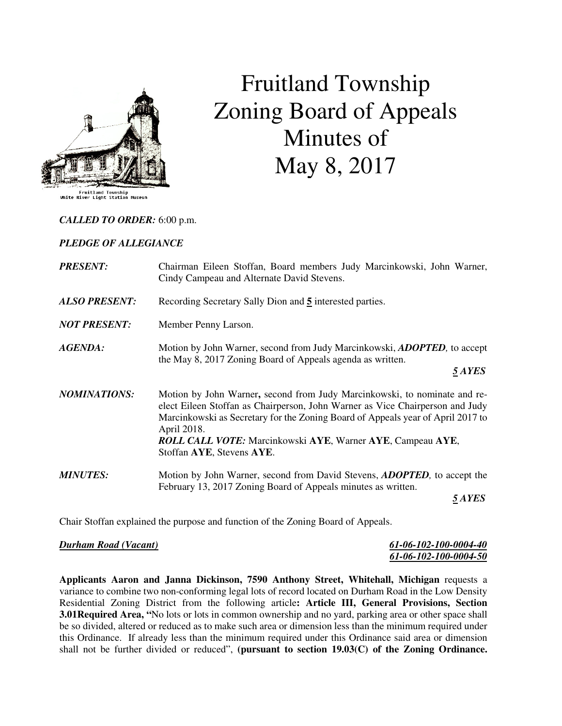

# Fruitland Township Zoning Board of Appeals Minutes of May 8, 2017

#### *CALLED TO ORDER:* 6:00 p.m.

#### *PLEDGE OF ALLEGIANCE*

| <b>PRESENT:</b>      | Chairman Eileen Stoffan, Board members Judy Marcinkowski, John Warner,<br>Cindy Campeau and Alternate David Stevens.                                                                                                                                                                                                                                           |
|----------------------|----------------------------------------------------------------------------------------------------------------------------------------------------------------------------------------------------------------------------------------------------------------------------------------------------------------------------------------------------------------|
| <b>ALSO PRESENT:</b> | Recording Secretary Sally Dion and 5 interested parties.                                                                                                                                                                                                                                                                                                       |
| <b>NOT PRESENT:</b>  | Member Penny Larson.                                                                                                                                                                                                                                                                                                                                           |
| AGENDA:              | Motion by John Warner, second from Judy Marcinkowski, <b>ADOPTED</b> , to accept<br>the May 8, 2017 Zoning Board of Appeals agenda as written.<br><i><b>5 AYES</b></i>                                                                                                                                                                                         |
| <b>NOMINATIONS:</b>  | Motion by John Warner, second from Judy Marcinkowski, to nominate and re-<br>elect Eileen Stoffan as Chairperson, John Warner as Vice Chairperson and Judy<br>Marcinkowski as Secretary for the Zoning Board of Appeals year of April 2017 to<br>April 2018.<br><b>ROLL CALL VOTE:</b> Marcinkowski AYE, Warner AYE, Campeau AYE,<br>Stoffan AYE, Stevens AYE. |
| <b>MINUTES:</b>      | Motion by John Warner, second from David Stevens, <b>ADOPTED</b> , to accept the<br>February 13, 2017 Zoning Board of Appeals minutes as written.<br><i><b>5 AYES</b></i>                                                                                                                                                                                      |
|                      |                                                                                                                                                                                                                                                                                                                                                                |

Chair Stoffan explained the purpose and function of the Zoning Board of Appeals.

#### *Durham Road (Vacant) 61-06-102-100-0004-40*

| Durham Road (Vacant) | 61-06-102-100-0004-40 |
|----------------------|-----------------------|
|                      | 61-06-102-100-0004-50 |

**Applicants Aaron and Janna Dickinson, 7590 Anthony Street, Whitehall, Michigan** requests a variance to combine two non-conforming legal lots of record located on Durham Road in the Low Density Residential Zoning District from the following article**: Article III, General Provisions, Section 3.01Required Area, "**No lots or lots in common ownership and no yard, parking area or other space shall be so divided, altered or reduced as to make such area or dimension less than the minimum required under this Ordinance. If already less than the minimum required under this Ordinance said area or dimension shall not be further divided or reduced", **(pursuant to section 19.03(C) of the Zoning Ordinance.**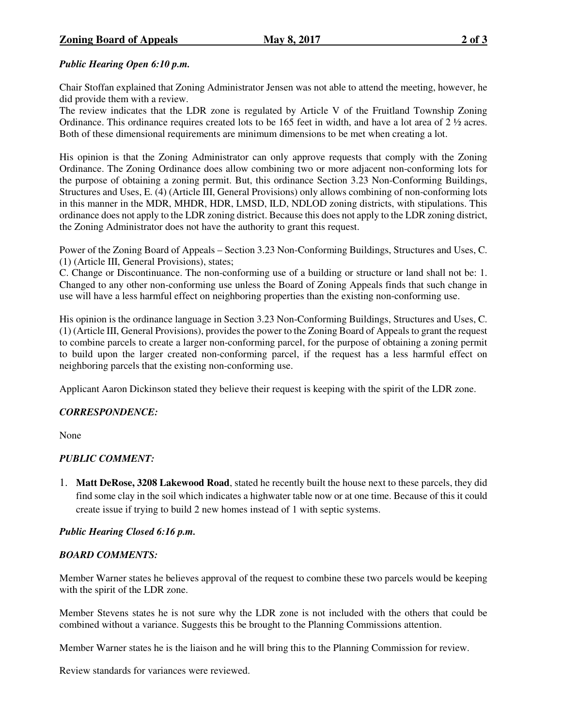## *Public Hearing Open 6:10 p.m.*

Chair Stoffan explained that Zoning Administrator Jensen was not able to attend the meeting, however, he did provide them with a review.

The review indicates that the LDR zone is regulated by Article V of the Fruitland Township Zoning Ordinance. This ordinance requires created lots to be 165 feet in width, and have a lot area of  $2 \frac{1}{2}$  acres. Both of these dimensional requirements are minimum dimensions to be met when creating a lot.

His opinion is that the Zoning Administrator can only approve requests that comply with the Zoning Ordinance. The Zoning Ordinance does allow combining two or more adjacent non-conforming lots for the purpose of obtaining a zoning permit. But, this ordinance Section 3.23 Non-Conforming Buildings, Structures and Uses, E. (4) (Article III, General Provisions) only allows combining of non-conforming lots in this manner in the MDR, MHDR, HDR, LMSD, ILD, NDLOD zoning districts, with stipulations. This ordinance does not apply to the LDR zoning district. Because this does not apply to the LDR zoning district, the Zoning Administrator does not have the authority to grant this request.

Power of the Zoning Board of Appeals – Section 3.23 Non-Conforming Buildings, Structures and Uses, C. (1) (Article III, General Provisions), states;

C. Change or Discontinuance. The non-conforming use of a building or structure or land shall not be: 1. Changed to any other non-conforming use unless the Board of Zoning Appeals finds that such change in use will have a less harmful effect on neighboring properties than the existing non-conforming use.

His opinion is the ordinance language in Section 3.23 Non-Conforming Buildings, Structures and Uses, C. (1) (Article III, General Provisions), provides the power to the Zoning Board of Appeals to grant the request to combine parcels to create a larger non-conforming parcel, for the purpose of obtaining a zoning permit to build upon the larger created non-conforming parcel, if the request has a less harmful effect on neighboring parcels that the existing non-conforming use.

Applicant Aaron Dickinson stated they believe their request is keeping with the spirit of the LDR zone.

## *CORRESPONDENCE:*

None

## *PUBLIC COMMENT:*

1. **Matt DeRose, 3208 Lakewood Road**, stated he recently built the house next to these parcels, they did find some clay in the soil which indicates a highwater table now or at one time. Because of this it could create issue if trying to build 2 new homes instead of 1 with septic systems.

## *Public Hearing Closed 6:16 p.m.*

## *BOARD COMMENTS:*

Member Warner states he believes approval of the request to combine these two parcels would be keeping with the spirit of the LDR zone.

Member Stevens states he is not sure why the LDR zone is not included with the others that could be combined without a variance. Suggests this be brought to the Planning Commissions attention.

Member Warner states he is the liaison and he will bring this to the Planning Commission for review.

Review standards for variances were reviewed.